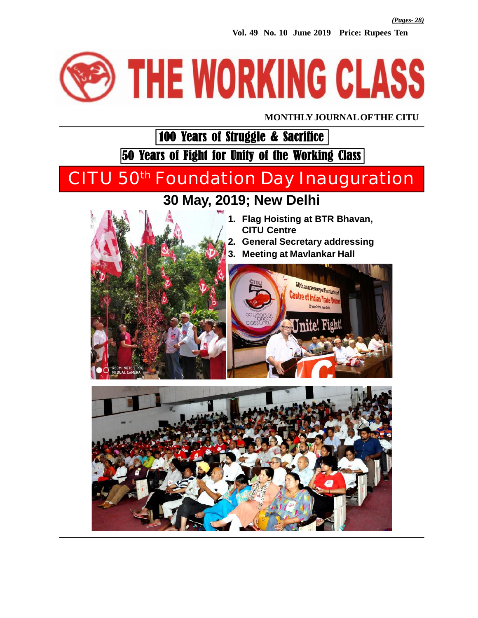**Vol. 49 No. 10 June 2019 Price: Rupees Ten**



**MONTHLY JOURNAL OF THE CITU**

### **100 Years of Struggle & Sacrifice**

### **50 Years of Fight for Unity of the Working Class**

## CITU 50<sup>th</sup> Foundation Day Inauguration

### **30 May, 2019; New Delhi**

- - **1. Flag Hoisting at BTR Bhavan, CITU Centre**
	- **2. General Secretary addressing**
	- **3. Meeting at Mavlankar Hall**



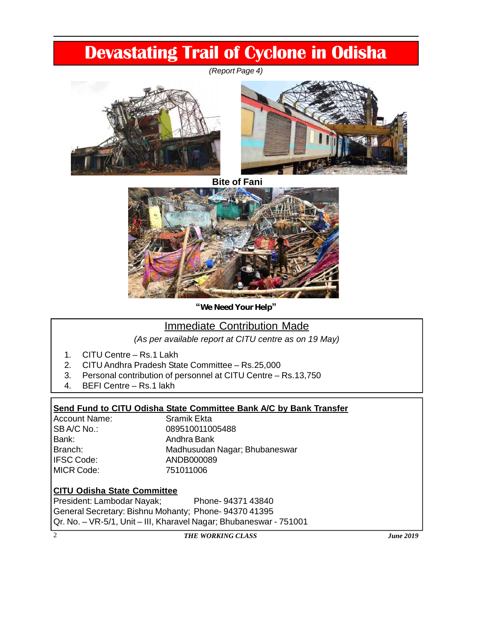## **Devastating Trail of Cyclone in Odisha**

*(Report Page 4)*





**Bite of Fani**



**"***We Need Your Help***"**

#### Immediate Contribution Made

*(As per available report at CITU centre as on 19 May)*

- 1. CITU Centre Rs.1 Lakh
- 2. CITU Andhra Pradesh State Committee Rs.25,000
- 3. Personal contribution of personnel at CITU Centre Rs.13,750
- 4. BEFI Centre Rs.1 lakh

#### **Send Fund to CITU Odisha State Committee Bank A/C by Bank Transfer**

Account Name: Sramik Ekta SB A/C No.: 089510011005488 Bank: Andhra Bank Branch: Madhusudan Nagar; Bhubaneswar<br>IFSC Code: ANDB000089 ANDB000089 MICR Code: 751011006

#### **CITU Odisha State Committee**

President: Lambodar Nayak; Phone- 94371 43840 General Secretary: Bishnu Mohanty; Phone- 94370 41395 Qr. No. – VR-5/1, Unit – III, Kharavel Nagar; Bhubaneswar - 751001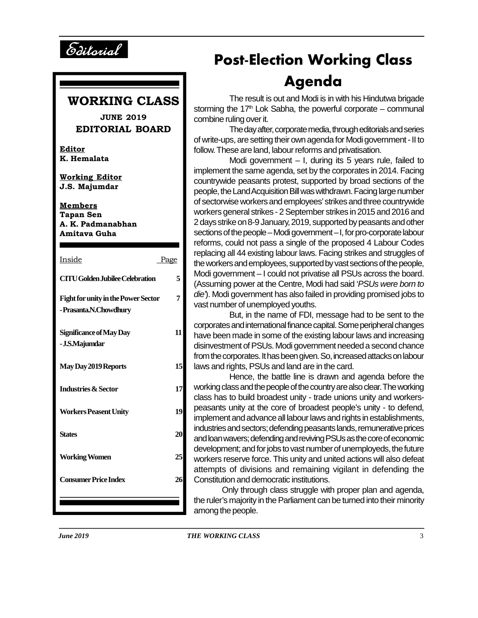

#### **WORKING CLASS**

**JUNE 2019 EDITORIAL BOARD**

**Editor K. Hemalata**

**Working Editor J.S. Majumdar**

**Members Tapan Sen A. K. Padmanabhan Amitava Guha**

| <u>Inside</u>                                                        | repla<br>Page<br>the w                 |  |
|----------------------------------------------------------------------|----------------------------------------|--|
| <b>CITU Golden Jubilee Celebration</b>                               | Modi<br>5<br>(Assi                     |  |
| <b>Fight for unity in the Power Sector</b><br>- Prasanta.N.Chowdhury | die').<br>7<br>vast i                  |  |
| Significance of May Day<br>- J.S.Majumdar                            | corpo<br>11<br>have<br>disiny<br>from∶ |  |
| May Day 2019 Reports                                                 | 15<br>laws                             |  |
| <b>Industries &amp; Sector</b>                                       | worki<br>17<br>class                   |  |
| <b>Workers Peasent Unity</b>                                         | peas<br>19<br>imple                    |  |
| <b>States</b>                                                        | indus<br>20<br>andlo                   |  |
| Working Women                                                        | deve<br>25<br>work                     |  |
| <b>Consumer Price Index</b>                                          | atter<br>26<br>Cons                    |  |
|                                                                      | the ru<br>amor                         |  |

## Post-Election Working Class Agenda

The result is out and Modi is in with his Hindutwa brigade storming the 17<sup>th</sup> Lok Sabha, the powerful corporate – communal combine ruling over it.

The day after, corporate media, through editorials and series of write-ups, are setting their own agenda for Modi government - II to follow. These are land, labour reforms and privatisation.

Modi government  $-1$ , during its 5 years rule, failed to implement the same agenda, set by the corporates in 2014. Facing countrywide peasants protest, supported by broad sections of the people, the Land Acquisition Bill was withdrawn. Facing large number of sectorwise workers and employees' strikes and three countrywide workers general strikes - 2 September strikes in 2015 and 2016 and 2 days strike on 8-9 January, 2019, supported by peasants and other sections of the people – Modi government – I, for pro-corporate labour reforms, could not pass a single of the proposed 4 Labour Codes replacing all 44 existing labour laws. Facing strikes and struggles of the workers and employees, supported by vast sections of the people, Modi government – I could not privatise all PSUs across the board. (Assuming power at the Centre, Modi had said '*PSUs were born to die'*). Modi government has also failed in providing promised jobs to vast number of unemployed youths.

**May Day 2019 Reports 15** laws and rights, PSUs and land are in the card. But, in the name of FDI, message had to be sent to the corporates and international finance capital. Some peripheral changes have been made in some of the existing labour laws and increasing disinvestment of PSUs. Modi government needed a second chance from the corporates. It has been given. So, increased attacks on labour

Working Women 25 workers reserve force. This unity and united actions will also defeat **Consumer Price Index 26 Constitution and democratic institutions.** Hence, the battle line is drawn and agenda before the working class and the people of the country are also clear. The working class has to build broadest unity - trade unions unity and workerspeasants unity at the core of broadest people's unity - to defend, implement and advance all labour laws and rights in establishments, industries and sectors; defending peasants lands, remunerative prices and loan wavers; defending and reviving PSUs as the core of economic development; and for jobs to vast number of unemployeds, the future attempts of divisions and remaining vigilant in defending the

Only through class struggle with proper plan and agenda, the ruler's majority in the Parliament can be turned into their minority among the people.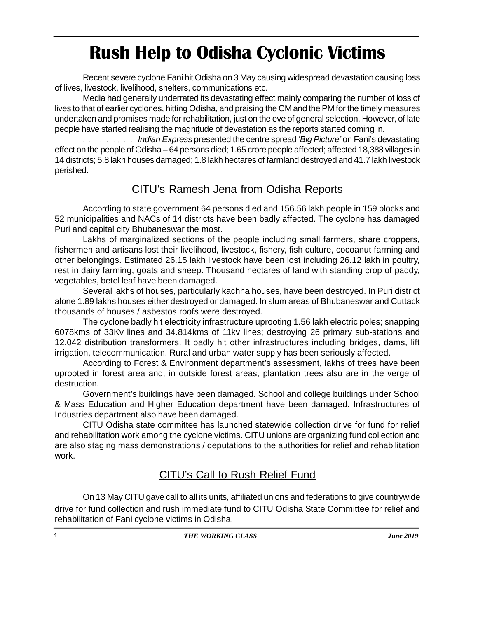# **Rush Help to Odisha Cyclonic Victims**

Recent severe cyclone Fani hit Odisha on 3 May causing widespread devastation causing loss of lives, livestock, livelihood, shelters, communications etc.

Media had generally underrated its devastating effect mainly comparing the number of loss of lives to that of earlier cyclones, hitting Odisha, and praising the CM and the PM for the timely measures undertaken and promises made for rehabilitation, just on the eve of general selection. However, of late people have started realising the magnitude of devastation as the reports started coming in.

Indian Express presented the centre spread 'Big Picture' on Fani's devastating effect on the people of Odisha – 64 persons died; 1.65 crore people affected; affected 18,388 villages in 14 districts; 5.8 lakh houses damaged; 1.8 lakh hectares of farmland destroyed and 41.7 lakh livestock perished.

### CITU's Ramesh Jena from Odisha Reports

According to state government 64 persons died and 156.56 lakh people in 159 blocks and 52 municipalities and NACs of 14 districts have been badly affected. The cyclone has damaged Puri and capital city Bhubaneswar the most.

Lakhs of marginalized sections of the people including small farmers, share croppers, fishermen and artisans lost their livelihood, livestock, fishery, fish culture, cocoanut farming and other belongings. Estimated 26.15 lakh livestock have been lost including 26.12 lakh in poultry, rest in dairy farming, goats and sheep. Thousand hectares of land with standing crop of paddy, vegetables, betel leaf have been damaged.

Several lakhs of houses, particularly kachha houses, have been destroyed. In Puri district alone 1.89 lakhs houses either destroyed or damaged. In slum areas of Bhubaneswar and Cuttack thousands of houses / asbestos roofs were destroyed.

The cyclone badly hit electricity infrastructure uprooting 1.56 lakh electric poles; snapping 6078kms of 33Kv lines and 34.814kms of 11kv lines; destroying 26 primary sub-stations and 12.042 distribution transformers. It badly hit other infrastructures including bridges, dams, lift irrigation, telecommunication. Rural and urban water supply has been seriously affected.

According to Forest & Environment department's assessment, lakhs of trees have been uprooted in forest area and, in outside forest areas, plantation trees also are in the verge of destruction.

Government's buildings have been damaged. School and college buildings under School & Mass Education and Higher Education department have been damaged. Infrastructures of Industries department also have been damaged.

CITU Odisha state committee has launched statewide collection drive for fund for relief and rehabilitation work among the cyclone victims. CITU unions are organizing fund collection and are also staging mass demonstrations / deputations to the authorities for relief and rehabilitation work.

#### CITU's Call to Rush Relief Fund

On 13 May CITU gave call to all its units, affiliated unions and federations to give countrywide drive for fund collection and rush immediate fund to CITU Odisha State Committee for relief and rehabilitation of Fani cyclone victims in Odisha.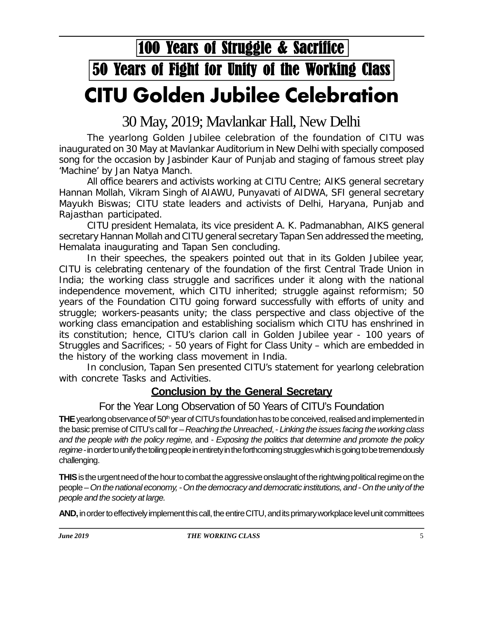# **100 Years of Struggle & Sacrifice 50 Years of Fight for Unity of the Working Class** CITU Golden Jubilee Celebration

### 30 May, 2019; Mavlankar Hall, New Delhi

The yearlong Golden Jubilee celebration of the foundation of CITU was inaugurated on 30 May at Mavlankar Auditorium in New Delhi with specially composed song for the occasion by Jasbinder Kaur of Punjab and staging of famous street play 'Machine' by Jan Natya Manch.

All office bearers and activists working at CITU Centre; AIKS general secretary Hannan Mollah, Vikram Singh of AIAWU, Punyavati of AIDWA, SFI general secretary Mayukh Biswas; CITU state leaders and activists of Delhi, Haryana, Punjab and Rajasthan participated.

CITU president Hemalata, its vice president A. K. Padmanabhan, AIKS general secretary Hannan Mollah and CITU general secretary Tapan Sen addressed the meeting, Hemalata inaugurating and Tapan Sen concluding.

In their speeches, the speakers pointed out that in its Golden Jubilee year, CITU is celebrating centenary of the foundation of the first Central Trade Union in India; the working class struggle and sacrifices under it along with the national independence movement, which CITU inherited; struggle against reformism; 50 years of the Foundation CITU going forward successfully with efforts of unity and struggle; workers-peasants unity; the class perspective and class objective of the working class emancipation and establishing socialism which CITU has enshrined in its constitution; hence, CITU's clarion call in Golden Jubilee year - *100 years of Struggles and Sacrifices; - 50 years of Fight for Class Unity* – which are embedded in the history of the working class movement in India.

In conclusion, Tapan Sen presented CITU's statement for yearlong celebration with concrete Tasks and Activities.

#### **Conclusion by the General Secretary**

#### For the Year Long Observation of 50 Years of CITU's Foundation

**THE** yearlong observance of 50<sup>th</sup> year of CITU's foundation has to be conceived, realised and implemented in the basic premise of CITU's call for –*Reaching the Unreached*, - *Linking the issues facing the working class and the people with the policy regime,* and - *Exposing the politics that determine and promote the policy regime -*in order to unify the toiling people in entirety in the forthcoming struggles which is going to be tremendously challenging.

**THIS**is the urgent need of the hour to combat the aggressive onslaught of the rightwing political regime on the people –*On the national economy, - On the democracy and democratic institutions, and - On the unity of the people and the society at large.*

**AND,** in order to effectively implement this call, the entire CITU, and its primary workplace level unit committees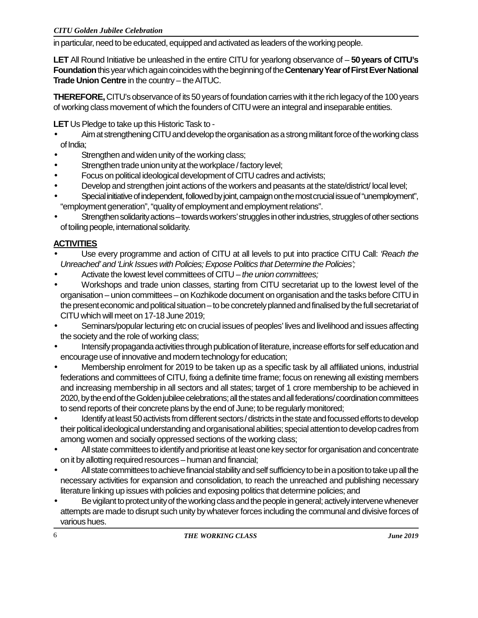in particular, need to be educated, equipped and activated as leaders of the working people.

**LET** All Round Initiative be unleashed in the entire CITU for yearlong observance of – **50years of CITU's Foundation** this year which again coincides with the beginning of the**Centenary Year of First Ever National Trade Union Centre** in the country – the AITUC.

**THEREFORE,** CITU's observance of its 50 years of foundation carries with it the rich legacy of the 100 years of working class movement of which the founders of CITU were an integral and inseparable entities.

**LET** Us Pledge to take up this Historic Task to -

- Aim at strengthening CITU and develop the organisation as a strong militant force of the working class of India;
- Strengthen and widen unity of the working class;
- Strengthen trade union unity at the workplace / factory level;
- Focus on political ideological development of CITU cadres and activists;
- Develop and strengthen joint actions of the workers and peasants at the state/district/ local level;
- Special initiative of independent, followed by joint, campaign on the most crucial issue of "unemployment", "employment generation", "quality of employment and employment relations".
- Strengthen solidarity actions towards workers' struggles in other industries, struggles of other sections of toiling people, international solidarity.

#### **ACTIVITIES**

- Use every programme and action of CITU at all levels to put into practice CITU Call: *'Reach the Unreached' and 'Link Issues with Policies; Expose Politics that Determine the Policies';*
- Activate the lowest level committees of CITU *the union committees;*
- Workshops and trade union classes, starting from CITU secretariat up to the lowest level of the organisation – union committees – on Kozhikode document on organisation and the tasks before CITU in the present economic and political situation – to be concretely planned and finalised by the full secretariat of CITU which will meet on 17-18 June 2019;
- Seminars/popular lecturing etc on crucial issues of peoples' lives and livelihood and issues affecting the society and the role of working class;
- Intensify propaganda activities through publication of literature, increase efforts for self education and encourage use of innovative and modern technology for education;
- Membership enrolment for 2019 to be taken up as a specific task by all affiliated unions, industrial federations and committees of CITU, fixing a definite time frame; focus on renewing all existing members and increasing membership in all sectors and all states; target of 1 crore membership to be achieved in 2020, by the end of the Golden jubilee celebrations; all the states and all federations/ coordination committees to send reports of their concrete plans by the end of June; to be regularly monitored;
- Identify at least 50 activists from different sectors / districts in the state and focussed efforts to develop their political ideological understanding and organisational abilities; special attention to develop cadres from among women and socially oppressed sections of the working class;
- All state committees to identify and prioritise at least one key sector for organisation and concentrate on it by allotting required resources – human and financial;
- All state committees to achieve financial stability and self sufficiency to be in a position to take up all the necessary activities for expansion and consolidation, to reach the unreached and publishing necessary literature linking up issues with policies and exposing politics that determine policies; and
- Be vigilant to protect unity of the working class and the people in general; actively intervene whenever attempts are made to disrupt such unity by whatever forces including the communal and divisive forces of various hues.
-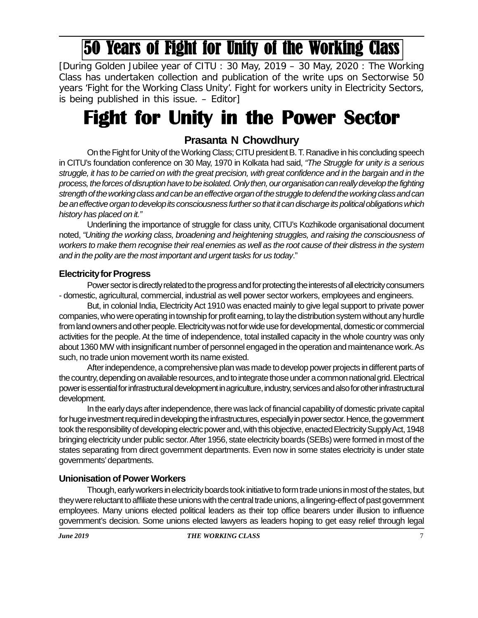# **50 Years of Fight for Unity of the Working Class**

[During Golden Jubilee year of CITU : 30 May, 2019 – 30 May, 2020 : *The Working Class* has undertaken collection and publication of the write ups on Sectorwise 50 years 'Fight for the Working Class Unity'. Fight for workers unity in Electricity Sectors, is being published in this issue. – Editor]

# **Fight for Unity in the Power Sector**

#### **Prasanta N Chowdhury**

On the Fight for Unity of the Working Class; CITU president B. T. Ranadive in his concluding speech in CITU's foundation conference on 30 May, 1970 in Kolkata had said, *"The Struggle for unity is a serious struggle, it has to be carried on with the great precision, with great confidence and in the bargain and in the process, the forces of disruption have to be isolated. Only then, our organisation can really develop the fighting strength of the working class and can be an effective organ of the struggle to defend the working class and can be an effective organ to develop its consciousness further so that it can discharge its political obligations which history has placed on it."*

Underlining the importance of struggle for class unity, CITU's Kozhikode organisational document noted, *"Uniting the working class, broadening and heightening struggles, and raising the consciousness of workers to make them recognise their real enemies as well as the root cause of their distress in the system and in the polity are the most important and urgent tasks for us today*."

#### **Electricity for Progress**

Power sector is directly related to the progress and for protecting the interests of all electricity consumers - domestic, agricultural, commercial, industrial as well power sector workers, employees and engineers.

But, in colonial India, Electricity Act 1910 was enacted mainly to give legal support to private power companies, who were operating in township for profit earning, to lay the distribution system without any hurdle from land owners and other people. Electricity was not for wide use for developmental, domestic or commercial activities for the people. At the time of independence, total installed capacity in the whole country was only about 1360 MW with insignificant number of personnel engaged in the operation and maintenance work. As such, no trade union movement worth its name existed.

After independence, a comprehensive plan was made to develop power projects in different parts of the country, depending on available resources, and to integrate those under a common national grid. Electrical power is essential for infrastructural development in agriculture, industry, services and also for other infrastructural development.

In the early days after independence, there was lack of financial capability of domestic private capital for huge investment required in developing the infrastructures, especially in power sector. Hence, the government took the responsibility of developing electric power and, with this objective, enacted Electricity Supply Act, 1948 bringing electricity under public sector. After 1956, state electricity boards (SEBs) were formed in most of the states separating from direct government departments. Even now in some states electricity is under state governments' departments.

#### **Unionisation of Power Workers**

Though, early workers in electricity boards took initiative to form trade unions in most of the states, but they were reluctant to affiliate these unions with the central trade unions, a lingering-effect of past government employees. Many unions elected political leaders as their top office bearers under illusion to influence government's decision. Some unions elected lawyers as leaders hoping to get easy relief through legal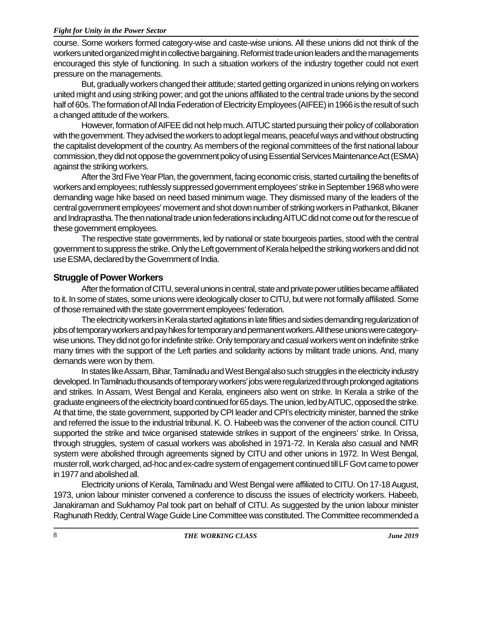#### *Fight for Unity in the Power Sector*

course. Some workers formed category-wise and caste-wise unions. All these unions did not think of the workers united organized might in collective bargaining. Reformist trade union leaders and the managements encouraged this style of functioning. In such a situation workers of the industry together could not exert pressure on the managements.

But, gradually workers changed their attitude; started getting organized in unions relying on workers united might and using striking power; and got the unions affiliated to the central trade unions by the second half of 60s. The formation of All India Federation of Electricity Employees (AIFEE) in 1966 is the result of such a changed attitude of the workers.

However, formation of AIFEE did not help much. AITUC started pursuing their policy of collaboration with the government. They advised the workers to adopt legal means, peaceful ways and without obstructing the capitalist development of the country. As members of the regional committees of the first national labour commission, they did not oppose the government policy of using Essential Services Maintenance Act (ESMA) against the striking workers.

After the 3rd Five Year Plan, the government, facing economic crisis, started curtailing the benefits of workers and employees; ruthlessly suppressed government employees' strike in September 1968 who were demanding wage hike based on need based minimum wage. They dismissed many of the leaders of the central government employees' movement and shot down number of striking workers in Pathankot, Bikaner and Indraprastha. The then national trade union federations including AITUC did not come out for the rescue of these government employees.

The respective state governments, led by national or state bourgeois parties, stood with the central government to suppress the strike. Only the Left government of Kerala helped the striking workers and did not use ESMA, declared by the Government of India.

#### **Struggle of Power Workers**

After the formation of CITU, several unions in central, state and private power utilities became affiliated to it. In some of states, some unions were ideologically closer to CITU, but were not formally affiliated. Some of those remained with the state government employees' federation.

The electricity workers in Kerala started agitations in late fifties and sixties demanding regularization of jobs of temporary workers and pay hikes for temporary and permanent workers. All these unions were categorywise unions. They did not go for indefinite strike. Only temporary and casual workers went on indefinite strike many times with the support of the Left parties and solidarity actions by militant trade unions. And, many demands were won by them.

In states like Assam, Bihar, Tamilnadu and West Bengal also such struggles in the electricity industry developed. In Tamilnadu thousands of temporary workers' jobs were regularized through prolonged agitations and strikes. In Assam, West Bengal and Kerala, engineers also went on strike. In Kerala a strike of the graduate engineers of the electricity board continued for 65 days. The union, led by AITUC, opposed the strike. At that time, the state government, supported by CPI leader and CPI's electricity minister, banned the strike and referred the issue to the industrial tribunal. K. O. Habeeb was the convener of the action council. CITU supported the strike and twice organised statewide strikes in support of the engineers' strike. In Orissa, through struggles, system of casual workers was abolished in 1971-72. In Kerala also casual and NMR system were abolished through agreements signed by CITU and other unions in 1972. In West Bengal, muster roll, work charged, ad-hoc and ex-cadre system of engagement continued till LF Govt came to power in 1977 and abolished all.

Electricity unions of Kerala, Tamilnadu and West Bengal were affiliated to CITU. On 17-18 August, 1973, union labour minister convened a conference to discuss the issues of electricity workers. Habeeb, Janakiraman and Sukhamoy Pal took part on behalf of CITU. As suggested by the union labour minister Raghunath Reddy, Central Wage Guide Line Committee was constituted. The Committee recommended a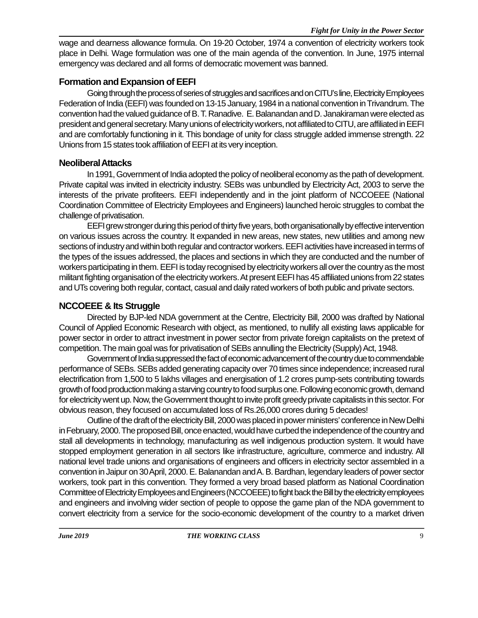wage and dearness allowance formula. On 19-20 October, 1974 a convention of electricity workers took place in Delhi. Wage formulation was one of the main agenda of the convention. In June, 1975 internal emergency was declared and all forms of democratic movement was banned.

#### **Formation and Expansion of EEFI**

Going through the process of series of struggles and sacrifices and on CITU's line, Electricity Employees Federation of India (EEFI) was founded on 13-15 January, 1984 in a national convention in Trivandrum. The convention had the valued guidance of B. T. Ranadive. E. Balanandan and D. Janakiraman were elected as president and general secretary. Many unions of electricity workers, not affiliated to CITU, are affiliated in EEFI and are comfortably functioning in it. This bondage of unity for class struggle added immense strength. 22 Unions from 15 states took affiliation of EEFI at its very inception.

#### **Neoliberal Attacks**

In 1991, Government of India adopted the policy of neoliberal economy as the path of development. Private capital was invited in electricity industry. SEBs was unbundled by Electricity Act, 2003 to serve the interests of the private profiteers. EEFI independently and in the joint platform of NCCOEEE (National Coordination Committee of Electricity Employees and Engineers) launched heroic struggles to combat the challenge of privatisation.

EEFI grew stronger during this period of thirty five years, both organisationally by effective intervention on various issues across the country. It expanded in new areas, new states, new utilities and among new sections of industry and within both regular and contractor workers. EEFI activities have increased in terms of the types of the issues addressed, the places and sections in which they are conducted and the number of workers participating in them. EEFI is today recognised by electricity workers all over the country as the most militant fighting organisation of the electricity workers. At present EEFI has 45 affiliated unions from 22 states and UTs covering both regular, contact, casual and daily rated workers of both public and private sectors.

#### **NCCOEEE & Its Struggle**

Directed by BJP-led NDA government at the Centre, Electricity Bill, 2000 was drafted by National Council of Applied Economic Research with object, as mentioned, to nullify all existing laws applicable for power sector in order to attract investment in power sector from private foreign capitalists on the pretext of competition. The main goal was for privatisation of SEBs annulling the Electricity (Supply) Act, 1948.

Government of India suppressed the fact of economic advancement of the country due to commendable performance of SEBs. SEBs added generating capacity over 70 times since independence; increased rural electrification from 1,500 to 5 lakhs villages and energisation of 1.2 crores pump-sets contributing towards growth of food production making a starving country to food surplus one. Following economic growth, demand for electricity went up. Now, the Government thought to invite profit greedy private capitalists in this sector. For obvious reason, they focused on accumulated loss of Rs.26,000 crores during 5 decades!

Outline of the draft of the electricity Bill, 2000 was placed in power ministers' conference in New Delhi in February, 2000. The proposed Bill, once enacted, would have curbed the independence of the country and stall all developments in technology, manufacturing as well indigenous production system. It would have stopped employment generation in all sectors like infrastructure, agriculture, commerce and industry. All national level trade unions and organisations of engineers and officers in electricity sector assembled in a convention in Jaipur on 30 April, 2000. E. Balanandan and A. B. Bardhan, legendary leaders of power sector workers, took part in this convention. They formed a very broad based platform as National Coordination Committee of Electricity Employees and Engineers (NCCOEEE) to fight back the Bill by the electricity employees and engineers and involving wider section of people to oppose the game plan of the NDA government to convert electricity from a service for the socio-economic development of the country to a market driven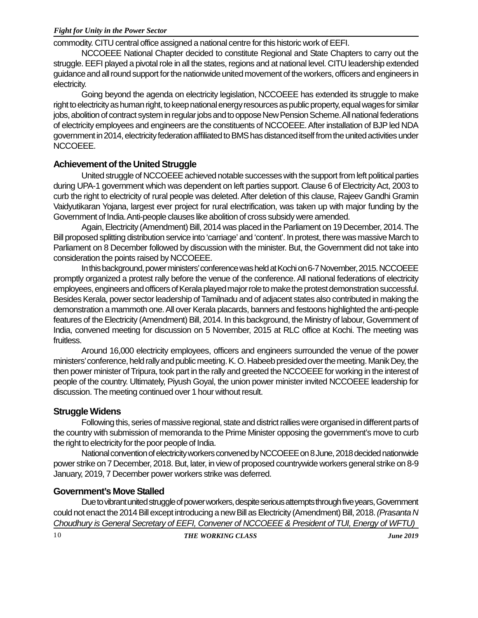commodity. CITU central office assigned a national centre for this historic work of EEFI.

NCCOEEE National Chapter decided to constitute Regional and State Chapters to carry out the struggle. EEFI played a pivotal role in all the states, regions and at national level. CITU leadership extended guidance and all round support for the nationwide united movement of the workers, officers and engineers in electricity.

Going beyond the agenda on electricity legislation, NCCOEEE has extended its struggle to make right to electricity as human right, to keep national energy resources as public property, equal wages for similar jobs, abolition of contract system in regular jobs and to oppose New Pension Scheme. All national federations of electricity employees and engineers are the constituents of NCCOEEE. After installation of BJP led NDA government in 2014, electricity federation affiliated to BMS has distanced itself from the united activities under NCCOEEE.

#### **Achievement of the United Struggle**

United struggle of NCCOEEE achieved notable successes with the support from left political parties during UPA-1 government which was dependent on left parties support. Clause 6 of Electricity Act, 2003 to curb the right to electricity of rural people was deleted. After deletion of this clause, Rajeev Gandhi Gramin Vaidyutikaran Yojana, largest ever project for rural electrification, was taken up with major funding by the Government of India. Anti-people clauses like abolition of cross subsidy were amended.

Again, Electricity (Amendment) Bill, 2014 was placed in the Parliament on 19 December, 2014. The Bill proposed splitting distribution service into 'carriage' and 'content'. In protest, there was massive March to Parliament on 8 December followed by discussion with the minister. But, the Government did not take into consideration the points raised by NCCOEEE.

In this background, power ministers' conference was held at Kochi on 6-7 November, 2015. NCCOEEE promptly organized a protest rally before the venue of the conference. All national federations of electricity employees, engineers and officers of Kerala played major role to make the protest demonstration successful. Besides Kerala, power sector leadership of Tamilnadu and of adjacent states also contributed in making the demonstration a mammoth one. All over Kerala placards, banners and festoons highlighted the anti-people features of the Electricity (Amendment) Bill, 2014. In this background, the Ministry of labour, Government of India, convened meeting for discussion on 5 November, 2015 at RLC office at Kochi. The meeting was fruitless.

Around 16,000 electricity employees, officers and engineers surrounded the venue of the power ministers' conference, held rally and public meeting. K. O. Habeeb presided over the meeting. Manik Dey, the then power minister of Tripura, took part in the rally and greeted the NCCOEEE for working in the interest of people of the country. Ultimately, Piyush Goyal, the union power minister invited NCCOEEE leadership for discussion. The meeting continued over 1 hour without result.

#### **Struggle Widens**

Following this, series of massive regional, state and district rallies were organised in different parts of the country with submission of memoranda to the Prime Minister opposing the government's move to curb the right to electricity for the poor people of India.

National convention of electricity workers convened by NCCOEEE on 8 June, 2018 decided nationwide power strike on 7 December, 2018. But, later, in view of proposed countrywide workers general strike on 8-9 January, 2019, 7 December power workers strike was deferred.

#### **Government's Move Stalled**

Due to vibrant united struggle of power workers, despite serious attempts through five years, Government could not enact the 2014 Bill except introducing a new Bill as Electricity (Amendment) Bill, 2018.*(Prasanta N Choudhury is General Secretary of EEFI, Convener of NCCOEEE & President of TUI, Energy of WFTU)*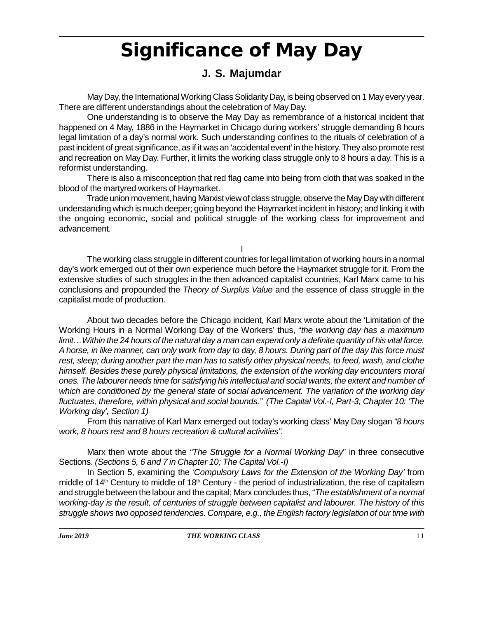# **Significance of May Day**

#### **J. S. Majumdar**

May Day, the International Working Class Solidarity Day, is being observed on 1 May every year. There are different understandings about the celebration of May Day.

One understanding is to observe the May Day as remembrance of a historical incident that happened on 4 May, 1886 in the Haymarket in Chicago during workers' struggle demanding 8 hours legal limitation of a day's normal work. Such understanding confines to the rituals of celebration of a past incident of great significance, as if it was an 'accidental event' in the history. They also promote rest and recreation on May Day. Further, it limits the working class struggle only to 8 hours a day. This is a reformist understanding.

There is also a misconception that red flag came into being from cloth that was soaked in the blood of the martyred workers of Haymarket.

Trade union movement, having Marxist view of class struggle, observe the May Day with different understanding which is much deeper; going beyond the Haymarket incident in history; and linking it with the ongoing economic, social and political struggle of the working class for improvement and advancement.

I

The working class struggle in different countries for legal limitation of working hours in a normal day's work emerged out of their own experience much before the Haymarket struggle for it. From the extensive studies of such struggles in the then advanced capitalist countries, Karl Marx came to his conclusions and propounded the *Theory of Surplus Value* and the essence of class struggle in the capitalist mode of production.

About two decades before the Chicago incident, Karl Marx wrote about the 'Limitation of the Working Hours in a Normal Working Day of the Workers' thus, "*the working day has a maximum limit…Within the 24 hours of the natural day a man can expend only a definite quantity of his vital force. A horse, in like manner, can only work from day to day, 8 hours. During part of the day this force must rest, sleep; during another part the man has to satisfy other physical needs, to feed, wash, and clothe himself. Besides these purely physical limitations, the extension of the working day encounters moral ones. The labourer needs time for satisfying his intellectual and social wants, the extent and number of which are conditioned by the general state of social advancement. The variation of the working day fluctuates, therefore, within physical and social bounds." (The Capital Vol.-I, Part-3, Chapter 10: 'The Working day', Section 1)*

From this narrative of Karl Marx emerged out today's working class' May Day slogan *"8 hours work, 8 hours rest and 8 hours recreation & cultural activities".*

Marx then wrote about the *"The Struggle for a Normal Working Day*" in three consecutive Sections. *(Sections 5, 6 and 7 in Chapter 10; The Capital Vol.-I)*

In Section 5, examining the *'Compulsory Laws for the Extension of the Working Day'* from middle of  $14<sup>th</sup>$  Century to middle of  $18<sup>th</sup>$  Century - the period of industrialization, the rise of capitalism and struggle between the labour and the capital; Marx concludes thus, "*The establishment of a normal working-day is the result, of centuries of struggle between capitalist and labourer. The history of this struggle shows two opposed tendencies. Compare, e.g., the English factory legislation of our time with*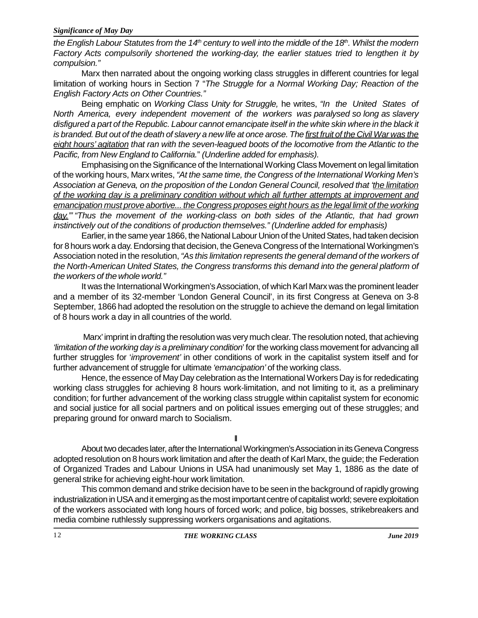#### *Significance of May Day*

*the English Labour Statutes from the 14th century to well into the middle of the 18th. Whilst the modern Factory Acts compulsorily shortened the working-day, the earlier statues tried to lengthen it by compulsion."*

Marx then narrated about the ongoing working class struggles in different countries for legal limitation of working hours in Section 7 "*The Struggle for a Normal Working Day; Reaction of the English Factory Acts on Other Countries."*

Being emphatic on *Working Class Unity for Struggle,* he writes, *"In the United States of North America, every independent movement of the workers was paralysed so long as slavery disfigured a part of the Republic. Labour cannot emancipate itself in the white skin where in the black it is branded.But out of the death of slavery a new life at once arose. The first fruit of the Civil War was the eight hours' agitation that ran with the seven-leagued boots of the locomotive from the Atlantic to the Pacific, from New England to California.*" *(Underline added for emphasis).*

Emphasising on the Significance of the International Working Class Movement on legal limitation of the working hours, Marx writes, *"At the same time, the Congress of the International Working Men's Association at Geneva, on the proposition of the London General Council, resolved that 'the limitation of the working day is a preliminary condition without which all further attempts at improvement and emancipation must prove abortive... the Congress proposes eight hours as the legal limit of the working day.'" "Thus the movement of the working-class on both sides of the Atlantic, that had grown instinctively out of the conditions of production themselves." (Underline added for emphasis)*

Earlier, in the same year 1866, the National Labour Union of the United States, had taken decision for 8 hours work a day. Endorsing that decision, the Geneva Congress of the International Workingmen's Association noted in the resolution, *"As this limitation represents the general demand of the workers of the North-American United States, the Congress transforms this demand into the general platform of the workers of the whole world."*

It was the International Workingmen's Association, of which Karl Marx was the prominent leader and a member of its 32-member 'London General Council', in its first Congress at Geneva on 3-8 September, 1866 had adopted the resolution on the struggle to achieve the demand on legal limitation of 8 hours work a day in all countries of the world.

 Marx' imprint in drafting the resolution was very much clear. The resolution noted, that achieving *'limitation of the working day is a preliminary condition*' for the working class movement for advancing all further struggles for '*improvement'* in other conditions of work in the capitalist system itself and for further advancement of struggle for ultimate *'emancipation'* of the working class.

Hence, the essence of May Day celebration as the International Workers Day is for rededicating working class struggles for achieving 8 hours work-limitation, and not limiting to it, as a preliminary condition; for further advancement of the working class struggle within capitalist system for economic and social justice for all social partners and on political issues emerging out of these struggles; and preparing ground for onward march to Socialism.

#### II

About two decades later, after the International Workingmen's Association in its Geneva Congress adopted resolution on 8 hours work limitation and after the death of Karl Marx, the guide; the Federation of Organized Trades and Labour Unions in USA had unanimously set May 1, 1886 as the date of general strike for achieving eight-hour work limitation.

This common demand and strike decision have to be seen in the background of rapidly growing industrialization in USA and it emerging as the most important centre of capitalist world; severe exploitation of the workers associated with long hours of forced work; and police, big bosses, strikebreakers and media combine ruthlessly suppressing workers organisations and agitations.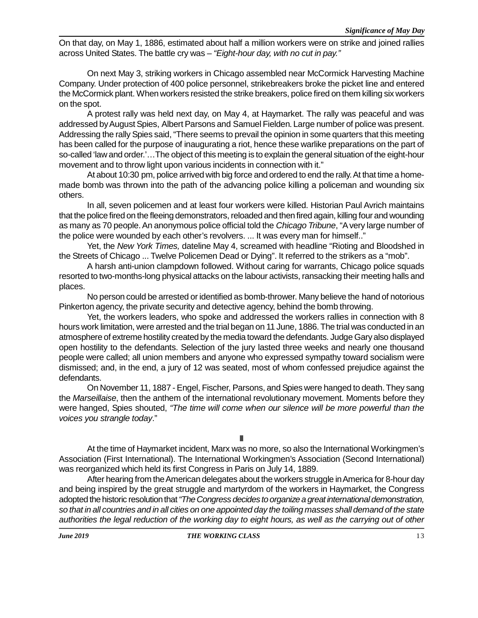On that day, on May 1, 1886, estimated about half a million workers were on strike and joined rallies across United States. The battle cry was – *"Eight-hour day, with no cut in pay."*

On next May 3, striking workers in Chicago assembled near McCormick Harvesting Machine Company. Under protection of 400 police personnel, strikebreakers broke the picket line and entered the McCormick plant. When workers resisted the strike breakers, police fired on them killing six workers on the spot.

A protest rally was held next day, on May 4, at Haymarket. The rally was peaceful and was addressed by August Spies, Albert Parsons and Samuel Fielden. Large number of police was present. Addressing the rally Spies said, "There seems to prevail the opinion in some quarters that this meeting has been called for the purpose of inaugurating a riot, hence these warlike preparations on the part of so-called 'law and order.'…The object of this meeting is to explain the general situation of the eight-hour movement and to throw light upon various incidents in connection with it."

At about 10:30 pm, police arrived with big force and ordered to end the rally. At that time a homemade bomb was thrown into the path of the advancing police killing a policeman and wounding six others.

In all, seven policemen and at least four workers were killed. Historian Paul Avrich maintains that the police fired on the fleeing demonstrators, reloaded and then fired again, killing four and wounding as many as 70 people. An anonymous police official told the *Chicago Tribune*, "A very large number of the police were wounded by each other's revolvers. ... It was every man for himself.."

Yet, the *New York Times,* dateline May 4, screamed with headline "Rioting and Bloodshed in the Streets of Chicago ... Twelve Policemen Dead or Dying". It referred to the strikers as a "mob".

A harsh anti-union clampdown followed. Without caring for warrants, Chicago police squads resorted to two-months-long physical attacks on the labour activists, ransacking their meeting halls and places.

No person could be arrested or identified as bomb-thrower. Many believe the hand of notorious Pinkerton agency, the private security and detective agency, behind the bomb throwing.

Yet, the workers leaders, who spoke and addressed the workers rallies in connection with 8 hours work limitation, were arrested and the trial began on 11 June, 1886. The trial was conducted in an atmosphere of extreme hostility created by the media toward the defendants. Judge Gary also displayed open hostility to the defendants. Selection of the jury lasted three weeks and nearly one thousand people were called; all union members and anyone who expressed sympathy toward socialism were dismissed; and, in the end, a jury of 12 was seated, most of whom confessed prejudice against the defendants.

On November 11, 1887 - Engel, Fischer, Parsons, and Spies were hanged to death. They sang the *Marseillaise*, then the anthem of the international revolutionary movement. Moments before they were hanged, Spies shouted, *"The time will come when our silence will be more powerful than the voices you strangle today*."

III

At the time of Haymarket incident, Marx was no more, so also the International Workingmen's Association (First International). The International Workingmen's Association (Second International) was reorganized which held its first Congress in Paris on July 14, 1889.

After hearing from the American delegates about the workers struggle in America for 8-hour day and being inspired by the great struggle and martyrdom of the workers in Haymarket, the Congress adopted the historic resolution that*"The Congress decides to organize a great international demonstration, so that in all countries and in all cities on one appointed day the toiling masses shall demand of the state authorities the legal reduction of the working day to eight hours, as well as the carrying out of other*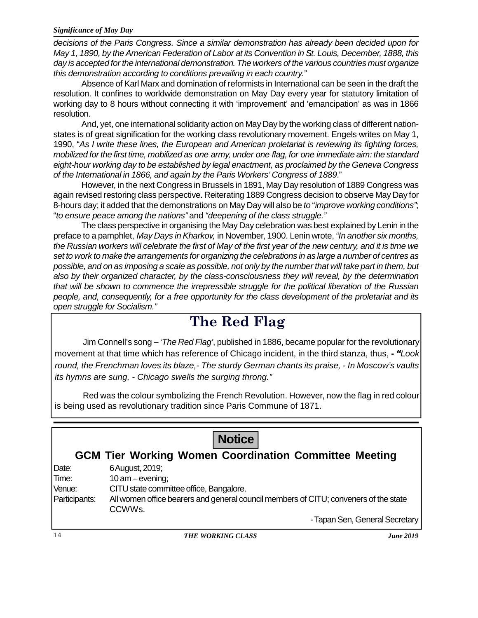#### *Significance of May Day*

*decisions of the Paris Congress. Since a similar demonstration has already been decided upon for May 1, 1890, by the American Federation of Labor at its Convention in St. Louis, December, 1888, this day is accepted for the international demonstration. The workers of the various countries must organize this demonstration according to conditions prevailing in each country."*

Absence of Karl Marx and domination of reformists in International can be seen in the draft the resolution. It confines to worldwide demonstration on May Day every year for statutory limitation of working day to 8 hours without connecting it with 'improvement' and 'emancipation' as was in 1866 resolution.

And, yet, one international solidarity action on May Day by the working class of different nationstates is of great signification for the working class revolutionary movement. Engels writes on May 1, 1990, "*As I write these lines, the European and American proletariat is reviewing its fighting forces, mobilized for the first time, mobilized as one army, under one flag, for one immediate aim: the standard eight-hour working day to be established by legal enactment, as proclaimed by the Geneva Congress of the International in 1866, and again by the Paris Workers' Congress of 1889*."

However, in the next Congress in Brussels in 1891, May Day resolution of 1889 Congress was again revised restoring class perspective. Reiterating 1889 Congress decision to observe May Day for 8-hours day; it added that the demonstrations on May Day will also be *to* "*improve working conditions"*; "*to ensure peace among the nations"* and *"deepening of the class struggle."*

The class perspective in organising the May Day celebration was best explained by Lenin in the preface to a pamphlet, *May Days in Kharkov,* in November, 1900. Lenin wrote, *"In another six months, the Russian workers will celebrate the first of May of the first year of the new century, and it is time we set to work to make the arrangements for organizing the celebrations in as large a number of centres as possible, and on as imposing a scale as possible, not only by the number that will take part in them, but also by their organized character, by the class-consciousness they will reveal, by the determination that will be shown to commence the irrepressible struggle for the political liberation of the Russian people, and, consequently, for a free opportunity for the class development of the proletariat and its open struggle for Socialism."*

## **The Red Flag**

Jim Connell's song – '*The Red Flag'*, published in 1886, became popular for the revolutionary movement at that time which has reference of Chicago incident, in the third stanza, thus, **-** *"Look round, the Frenchman loves its blaze,- The sturdy German chants its praise, - In Moscow's vaults its hymns are sung, - Chicago swells the surging throng."*

Red was the colour symbolizing the French Revolution. However, now the flag in red colour is being used as revolutionary tradition since Paris Commune of 1871.

|               | <b>Notice</b>                                                                                  |                                |
|---------------|------------------------------------------------------------------------------------------------|--------------------------------|
|               | <b>GCM Tier Working Women Coordination Committee Meeting</b>                                   |                                |
| Date:         | 6 August, 2019;                                                                                |                                |
| Time:         | $10 am - evening$ ;                                                                            |                                |
| Venue:        | CITU state committee office, Bangalore.                                                        |                                |
| Participants: | All women office bearers and general council members of CITU; conveners of the state<br>CCWWs. |                                |
|               |                                                                                                | - Tapan Sen, General Secretary |
| 14            | THE WORKING CLASS                                                                              | <b>June 2019</b>               |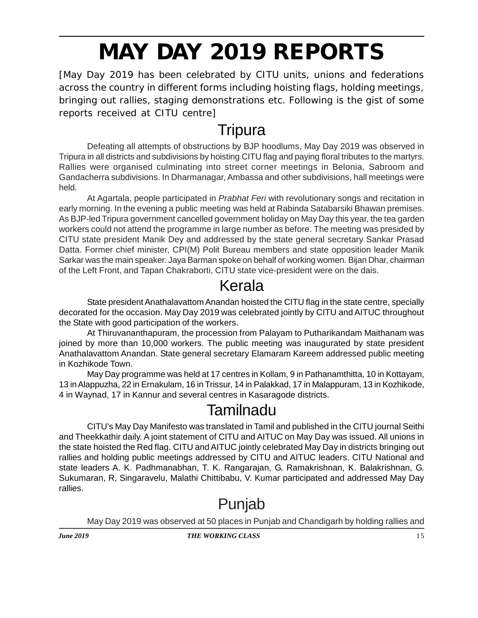# **MAY DAY 2019 REPORTS**

*[May Day 2019 has been celebrated by CITU units, unions and federations across the country in different forms including hoisting flags, holding meetings, bringing out rallies, staging demonstrations etc. Following is the gist of some reports received at CITU centre]*

## **Tripura**

Defeating all attempts of obstructions by BJP hoodlums, May Day 2019 was observed in Tripura in all districts and subdivisions by hoisting CITU flag and paying floral tributes to the martyrs. Rallies were organised culminating into street corner meetings in Belonia, Sabroom and Gandacherra subdivisions. In Dharmanagar, Ambassa and other subdivisions, hall meetings were held.

At Agartala, people participated in *Prabhat Feri* with revolutionary songs and recitation in early morning. In the evening a public meeting was held at Rabinda Satabarsiki Bhawan premises. As BJP-led Tripura government cancelled government holiday on May Day this year, the tea garden workers could not attend the programme in large number as before. The meeting was presided by CITU state president Manik Dey and addressed by the state general secretary Sankar Prasad Datta. Former chief minister, CPI(M) Polit Bureau members and state opposition leader Manik Sarkar was the main speaker. Jaya Barman spoke on behalf of working women. Bijan Dhar, chairman of the Left Front, and Tapan Chakraborti, CITU state vice-president were on the dais.

## Kerala

State president Anathalavattom Anandan hoisted the CITU flag in the state centre, specially decorated for the occasion. May Day 2019 was celebrated jointly by CITU and AITUC throughout the State with good participation of the workers.

At Thiruvananthapuram, the procession from Palayam to Putharikandam Maithanam was joined by more than 10,000 workers. The public meeting was inaugurated by state president Anathalavattom Anandan. State general secretary Elamaram Kareem addressed public meeting in Kozhikode Town.

May Day programme was held at 17 centres in Kollam, 9 in Pathanamthitta, 10 in Kottayam, 13 in Alappuzha, 22 in Ernakulam, 16 in Trissur, 14 in Palakkad, 17 in Malappuram, 13 in Kozhikode, 4 in Waynad, 17 in Kannur and several centres in Kasaragode districts.

### Tamilnadu

CITU's May Day Manifesto was translated in Tamil and published in the CITU journal Seithi and Theekkathir daily. A joint statement of CITU and AITUC on May Day was issued. All unions in the state hoisted the Red flag. CITU and AITUC jointly celebrated May Day in districts bringing out rallies and holding public meetings addressed by CITU and AITUC leaders. CITU National and state leaders A. K. Padhmanabhan, T. K. Rangarajan, G. Ramakrishnan, K. Balakrishnan, G. Sukumaran, R, Singaravelu, Malathi Chittibabu, V. Kumar participated and addressed May Day rallies.

## Punjab

May Day 2019 was observed at 50 places in Punjab and Chandigarh by holding rallies and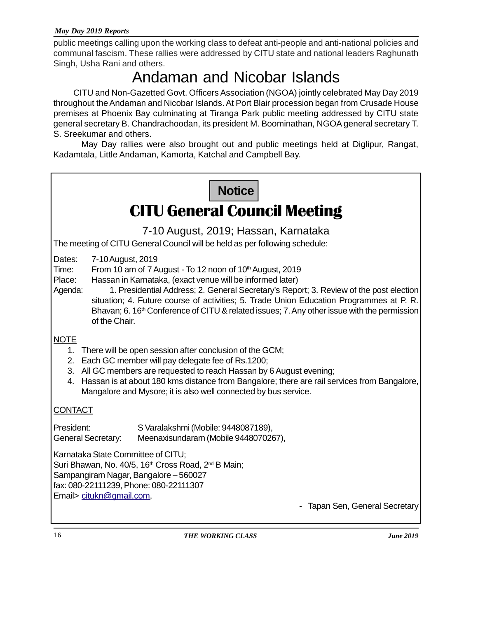public meetings calling upon the working class to defeat anti-people and anti-national policies and communal fascism. These rallies were addressed by CITU state and national leaders Raghunath Singh, Usha Rani and others.

## Andaman and Nicobar Islands

 CITU and Non-Gazetted Govt. Officers Association (NGOA) jointly celebrated May Day 2019 throughout the Andaman and Nicobar Islands. At Port Blair procession began from Crusade House premises at Phoenix Bay culminating at Tiranga Park public meeting addressed by CITU state general secretary B. Chandrachoodan, its president M. Boominathan, NGOA general secretary T. S. Sreekumar and others.

May Day rallies were also brought out and public meetings held at Diglipur, Rangat, Kadamtala, Little Andaman, Kamorta, Katchal and Campbell Bay.

**Notice**

## **CITU General Council Meeting**

7-10 August, 2019; Hassan, Karnataka

The meeting of CITU General Council will be held as per following schedule:

Dates: 7-10 August, 2019

Time: From 10 am of 7 August - To 12 noon of 10<sup>th</sup> August, 2019

Place: Hassan in Karnataka, (exact venue will be informed later)

Agenda: 1. Presidential Address; 2. General Secretary's Report; 3. Review of the post election situation; 4. Future course of activities; 5. Trade Union Education Programmes at P. R. Bhavan; 6. 16<sup>th</sup> Conference of CITU & related issues; 7. Any other issue with the permission of the Chair.

#### NOTE

- 1. There will be open session after conclusion of the GCM;
- 2. Each GC member will pay delegate fee of Rs.1200;
- 3. All GC members are requested to reach Hassan by 6 August evening;
- 4. Hassan is at about 180 kms distance from Bangalore; there are rail services from Bangalore, Mangalore and Mysore; it is also well connected by bus service.

#### **CONTACT**

President: S Varalakshmi (Mobile: 9448087189), General Secretary: Meenaxisundaram (Mobile 9448070267),

Karnataka State Committee of CITU;

Suri Bhawan, No. 40/5, 16<sup>th</sup> Cross Road, 2<sup>nd</sup> B Main; Sampangiram Nagar, Bangalore – 560027

fax: 080-22111239, Phone: 080-22111307 Email> citukn@gmail.com,

- Tapan Sen, General Secretary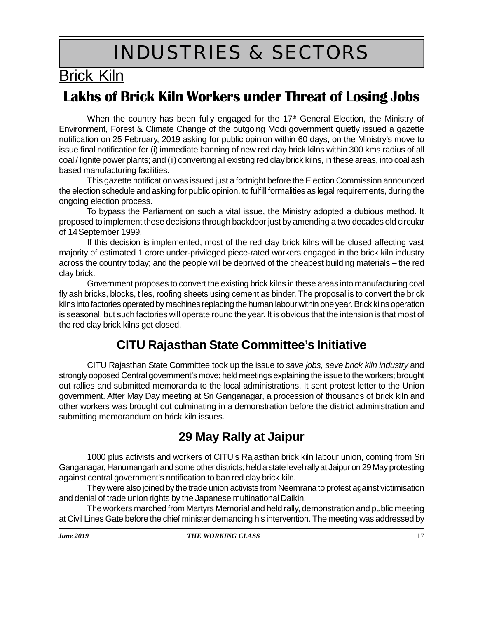# INDUSTRIES & SECTORS

## **Brick Kiln**

### **Lakhs of Brick Kiln Workers under Threat of Losing Jobs**

When the country has been fully engaged for the 17<sup>th</sup> General Election, the Ministry of Environment, Forest & Climate Change of the outgoing Modi government quietly issued a gazette notification on 25 February, 2019 asking for public opinion within 60 days, on the Ministry's move to issue final notification for (i) immediate banning of new red clay brick kilns within 300 kms radius of all coal / lignite power plants; and (ii) converting all existing red clay brick kilns, in these areas, into coal ash based manufacturing facilities.

This gazette notification was issued just a fortnight before the Election Commission announced the election schedule and asking for public opinion, to fulfill formalities as legal requirements, during the ongoing election process.

To bypass the Parliament on such a vital issue, the Ministry adopted a dubious method. It proposed to implement these decisions through backdoor just by amending a two decades old circular of 14September 1999.

If this decision is implemented, most of the red clay brick kilns will be closed affecting vast majority of estimated 1 crore under-privileged piece-rated workers engaged in the brick kiln industry across the country today; and the people will be deprived of the cheapest building materials – the red clay brick.

Government proposes to convert the existing brick kilns in these areas into manufacturing coal fly ash bricks, blocks, tiles, roofing sheets using cement as binder. The proposal is to convert the brick kilns into factories operated by machines replacing the human labour within one year. Brick kilns operation is seasonal, but such factories will operate round the year. It is obvious that the intension is that most of the red clay brick kilns get closed.

### **CITU Rajasthan State Committee's Initiative**

CITU Rajasthan State Committee took up the issue to *save jobs, save brick kiln industry* and strongly opposed Central government's move; held meetings explaining the issue to the workers; brought out rallies and submitted memoranda to the local administrations. It sent protest letter to the Union government. After May Day meeting at Sri Ganganagar, a procession of thousands of brick kiln and other workers was brought out culminating in a demonstration before the district administration and submitting memorandum on brick kiln issues.

### **29 May Rally at Jaipur**

1000 plus activists and workers of CITU's Rajasthan brick kiln labour union, coming from Sri Ganganagar, Hanumangarh and some other districts; held a state level rally at Jaipur on 29 May protesting against central government's notification to ban red clay brick kiln.

They were also joined by the trade union activists from Neemrana to protest against victimisation and denial of trade union rights by the Japanese multinational Daikin.

The workers marched from Martyrs Memorial and held rally, demonstration and public meeting at Civil Lines Gate before the chief minister demanding his intervention. The meeting was addressed by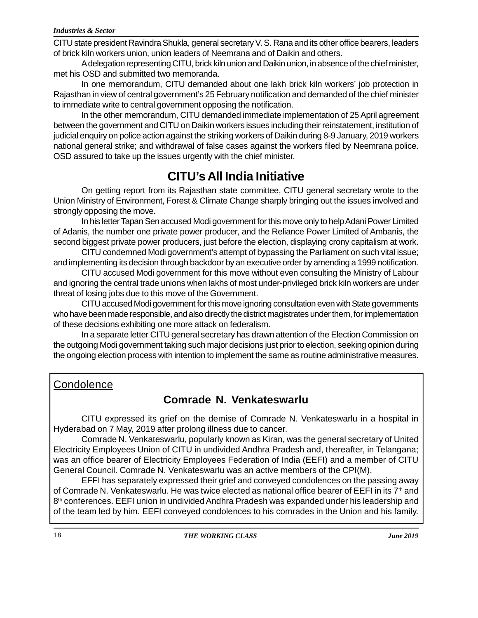CITU state president Ravindra Shukla, general secretary V. S. Rana and its other office bearers, leaders of brick kiln workers union, union leaders of Neemrana and of Daikin and others.

A delegation representing CITU, brick kiln union and Daikin union, in absence of the chief minister, met his OSD and submitted two memoranda.

In one memorandum, CITU demanded about one lakh brick kiln workers' job protection in Rajasthan in view of central government's 25 February notification and demanded of the chief minister to immediate write to central government opposing the notification.

In the other memorandum, CITU demanded immediate implementation of 25 April agreement between the government and CITU on Daikin workers issues including their reinstatement, institution of judicial enquiry on police action against the striking workers of Daikin during 8-9 January, 2019 workers national general strike; and withdrawal of false cases against the workers filed by Neemrana police. OSD assured to take up the issues urgently with the chief minister.

### **CITU's All India Initiative**

On getting report from its Rajasthan state committee, CITU general secretary wrote to the Union Ministry of Environment, Forest & Climate Change sharply bringing out the issues involved and strongly opposing the move.

In his letter Tapan Sen accused Modi government for this move only to help Adani Power Limited of Adanis, the number one private power producer, and the Reliance Power Limited of Ambanis, the second biggest private power producers, just before the election, displaying crony capitalism at work.

CITU condemned Modi government's attempt of bypassing the Parliament on such vital issue; and implementing its decision through backdoor by an executive order by amending a 1999 notification.

CITU accused Modi government for this move without even consulting the Ministry of Labour and ignoring the central trade unions when lakhs of most under-privileged brick kiln workers are under threat of losing jobs due to this move of the Government.

CITU accused Modi government for this move ignoring consultation even with State governments who have been made responsible, and also directly the district magistrates under them, for implementation of these decisions exhibiting one more attack on federalism.

In a separate letter CITU general secretary has drawn attention of the Election Commission on the outgoing Modi government taking such major decisions just prior to election, seeking opinion during the ongoing election process with intention to implement the same as routine administrative measures.

#### **Condolence**

#### **Comrade N. Venkateswarlu**

CITU expressed its grief on the demise of Comrade N. Venkateswarlu in a hospital in Hyderabad on 7 May, 2019 after prolong illness due to cancer.

Comrade N. Venkateswarlu, popularly known as Kiran, was the general secretary of United Electricity Employees Union of CITU in undivided Andhra Pradesh and, thereafter, in Telangana; was an office bearer of Electricity Employees Federation of India (EEFI) and a member of CITU General Council. Comrade N. Venkateswarlu was an active members of the CPI(M).

EFFI has separately expressed their grief and conveyed condolences on the passing away of Comrade N. Venkateswarlu. He was twice elected as national office bearer of EEFI in its 7th and 8<sup>th</sup> conferences. EEFI union in undivided Andhra Pradesh was expanded under his leadership and | of the team led by him. EEFI conveyed condolences to his comrades in the Union and his family.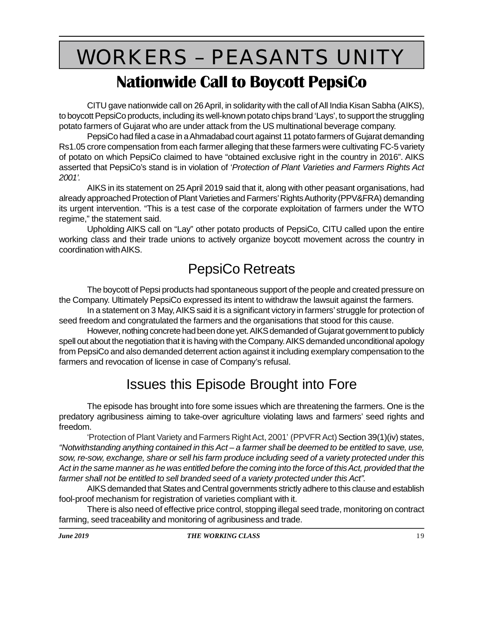# WORKERS – PEASANTS UNITY

## **Nationwide Call to Boycott PepsiCo**

CITU gave nationwide call on 26 April, in solidarity with the call of All India Kisan Sabha (AIKS), to boycott PepsiCo products, including its well-known potato chips brand 'Lays', to support the struggling potato farmers of Gujarat who are under attack from the US multinational beverage company.

PepsiCo had filed a case in a Ahmadabad court against 11 potato farmers of Gujarat demanding Rs1.05 crore compensation from each farmer alleging that these farmers were cultivating FC-5 variety of potato on which PepsiCo claimed to have "obtained exclusive right in the country in 2016". AIKS asserted that PepsiCo's stand is in violation of '*Protection of Plant Varieties and Farmers Rights Act 2001'.*

AIKS in its statement on 25 April 2019 said that it, along with other peasant organisations, had already approached Protection of Plant Varieties and Farmers' Rights Authority (PPV&FRA) demanding its urgent intervention. "This is a test case of the corporate exploitation of farmers under the WTO regime," the statement said.

Upholding AIKS call on "Lay" other potato products of PepsiCo, CITU called upon the entire working class and their trade unions to actively organize boycott movement across the country in coordination with AIKS.

### PepsiCo Retreats

The boycott of Pepsi products had spontaneous support of the people and created pressure on the Company. Ultimately PepsiCo expressed its intent to withdraw the lawsuit against the farmers.

In a statement on 3 May, AIKS said it is a significant victory in farmers' struggle for protection of seed freedom and congratulated the farmers and the organisations that stood for this cause.

However, nothing concrete had been done yet. AIKS demanded of Gujarat government to publicly spell out about the negotiation that it is having with the Company. AIKS demanded unconditional apology from PepsiCo and also demanded deterrent action against it including exemplary compensation to the farmers and revocation of license in case of Company's refusal.

### Issues this Episode Brought into Fore

The episode has brought into fore some issues which are threatening the farmers. One is the predatory agribusiness aiming to take-over agriculture violating laws and farmers' seed rights and freedom.

'Protection of Plant Variety and Farmers Right Act, 2001' (PPVFR Act) Section 39(1)(iv) states, *"Notwithstanding anything contained in this Act – a farmer shall be deemed to be entitled to save, use, sow, re-sow, exchange, share or sell his farm produce including seed of a variety protected under this Act in the same manner as he was entitled before the coming into the force of this Act, provided that the farmer shall not be entitled to sell branded seed of a variety protected under this Act".*

AIKS demanded that States and Central governments strictly adhere to this clause and establish fool-proof mechanism for registration of varieties compliant with it.

There is also need of effective price control, stopping illegal seed trade, monitoring on contract farming, seed traceability and monitoring of agribusiness and trade.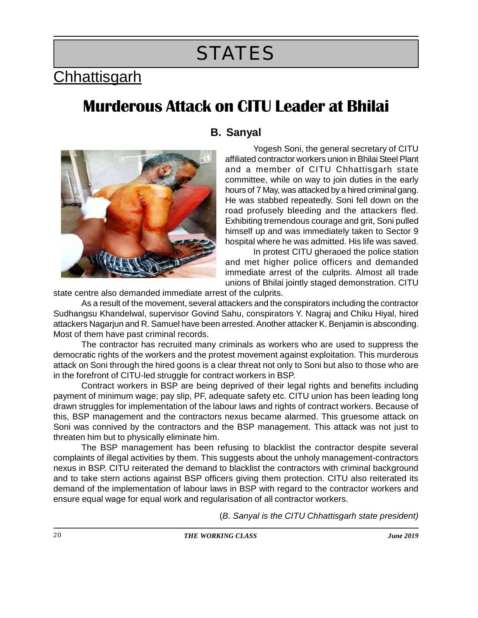# **STATES**

## **Chhattisgarh**

## **Murderous Attack on CITU Leader at Bhilai**



#### **B. Sanyal**

Yogesh Soni, the general secretary of CITU affiliated contractor workers union in Bhilai Steel Plant and a member of CITU Chhattisgarh state committee, while on way to join duties in the early hours of 7 May, was attacked by a hired criminal gang. He was stabbed repeatedly. Soni fell down on the road profusely bleeding and the attackers fled. Exhibiting tremendous courage and grit, Soni pulled himself up and was immediately taken to Sector 9 hospital where he was admitted. His life was saved.

In protest CITU gheraoed the police station and met higher police officers and demanded immediate arrest of the culprits. Almost all trade unions of Bhilai jointly staged demonstration. CITU

state centre also demanded immediate arrest of the culprits.

As a result of the movement, several attackers and the conspirators including the contractor Sudhangsu Khandelwal, supervisor Govind Sahu, conspirators Y. Nagraj and Chiku Hiyal, hired attackers Nagarjun and R. Samuel have been arrested. Another attacker K. Benjamin is absconding. Most of them have past criminal records.

The contractor has recruited many criminals as workers who are used to suppress the democratic rights of the workers and the protest movement against exploitation. This murderous attack on Soni through the hired goons is a clear threat not only to Soni but also to those who are in the forefront of CITU-led struggle for contract workers in BSP.

Contract workers in BSP are being deprived of their legal rights and benefits including payment of minimum wage; pay slip, PF, adequate safety etc. CITU union has been leading long drawn struggles for implementation of the labour laws and rights of contract workers. Because of this, BSP management and the contractors nexus became alarmed. This gruesome attack on Soni was connived by the contractors and the BSP management. This attack was not just to threaten him but to physically eliminate him.

The BSP management has been refusing to blacklist the contractor despite several complaints of illegal activities by them. This suggests about the unholy management-contractors nexus in BSP. CITU reiterated the demand to blacklist the contractors with criminal background and to take stern actions against BSP officers giving them protection. CITU also reiterated its demand of the implementation of labour laws in BSP with regard to the contractor workers and ensure equal wage for equal work and regularisation of all contractor workers.

(*B. Sanyal is the CITU Chhattisgarh state president)*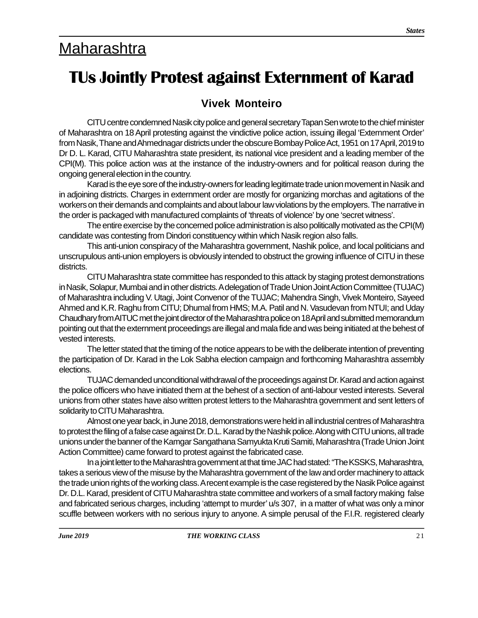## Maharashtra

## **TUs Jointly Protest against Externment of Karad**

### **Vivek Monteiro**

CITU centre condemned Nasik city police and general secretary Tapan Sen wrote to the chief minister of Maharashtra on 18 April protesting against the vindictive police action, issuing illegal 'Externment Order' from Nasik, Thane and Ahmednagar districts under the obscure Bombay Police Act, 1951 on 17 April, 2019 to Dr D. L. Karad, CITU Maharashtra state president, its national vice president and a leading member of the CPI(M). This police action was at the instance of the industry-owners and for political reason during the ongoing general election in the country.

Karad is the eye sore of the industry-owners for leading legitimate trade union movement in Nasik and in adjoining districts. Charges in externment order are mostly for organizing morchas and agitations of the workers on their demands and complaints and about labour law violations by the employers. The narrative in the order is packaged with manufactured complaints of 'threats of violence' by one 'secret witness'.

The entire exercise by the concerned police administration is also politically motivated as the CPI(M) candidate was contesting from Dindori constituency within which Nasik region also falls.

This anti-union conspiracy of the Maharashtra government, Nashik police, and local politicians and unscrupulous anti-union employers is obviously intended to obstruct the growing influence of CITU in these districts.

CITU Maharashtra state committee has responded to this attack by staging protest demonstrations in Nasik, Solapur, Mumbai and in other districts. A delegation of Trade Union Joint Action Committee (TUJAC) of Maharashtra including V. Utagi, Joint Convenor of the TUJAC; Mahendra Singh, Vivek Monteiro, Sayeed Ahmed and K.R. Raghu from CITU; Dhumal from HMS; M.A. Patil and N. Vasudevan from NTUI; and Uday Chaudhary from AITUC met the joint director of the Maharashtra police on 18 April and submitted memorandum pointing out that the externment proceedings are illegal and mala fide and was being initiated at the behest of vested interests.

The letter stated that the timing of the notice appears to be with the deliberate intention of preventing the participation of Dr. Karad in the Lok Sabha election campaign and forthcoming Maharashtra assembly elections.

TUJAC demanded unconditional withdrawal of the proceedings against Dr. Karad and action against the police officers who have initiated them at the behest of a section of anti-labour vested interests. Several unions from other states have also written protest letters to the Maharashtra government and sent letters of solidarity to CITU Maharashtra.

Almost one year back, in June 2018, demonstrations were held in all industrial centres of Maharashtra to protest the filing of a false case against Dr. D.L. Karad by the Nashik police. Along with CITU unions, all trade unions under the banner of the Kamgar Sangathana Samyukta Kruti Samiti, Maharashtra (Trade Union Joint Action Committee) came forward to protest against the fabricated case.

In a joint letter to the Maharashtra government at that time JAC had stated: "The KSSKS, Maharashtra, takes a serious view of the misuse by the Maharashtra government of the law and order machinery to attack the trade union rights of the working class. A recent example is the case registered by the Nasik Police against Dr. D.L. Karad, president of CITU Maharashtra state committee and workers of a small factory making false and fabricated serious charges, including 'attempt to murder' u/s 307, in a matter of what was only a minor scuffle between workers with no serious injury to anyone. A simple perusal of the F.I.R. registered clearly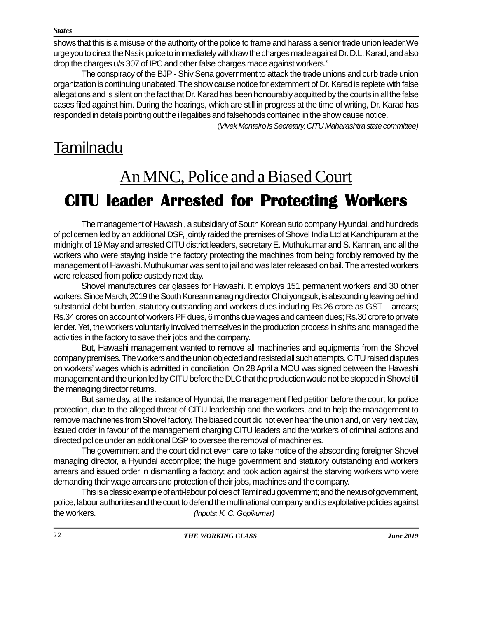shows that this is a misuse of the authority of the police to frame and harass a senior trade union leader.We urge you to direct the Nasik police to immediately withdraw the charges made against Dr. D.L. Karad, and also drop the charges u/s 307 of IPC and other false charges made against workers."

The conspiracy of the BJP - Shiv Sena government to attack the trade unions and curb trade union organization is continuing unabated. The show cause notice for externment of Dr. Karad is replete with false allegations and is silent on the fact that Dr. Karad has been honourably acquitted by the courts in all the false cases filed against him. During the hearings, which are still in progress at the time of writing, Dr. Karad has responded in details pointing out the illegalities and falsehoods contained in the show cause notice.

(*Vivek Monteiro is Secretary, CITU Maharashtra state committee)*

## **Tamilnadu**

# An MNC, Police and a Biased Court

## **CITU leader Arrested for Protecting Workers**

The management of Hawashi, a subsidiary of South Korean auto company Hyundai, and hundreds of policemen led by an additional DSP, jointly raided the premises of Shovel India Ltd at Kanchipuram at the midnight of 19 May and arrested CITU district leaders, secretary E. Muthukumar and S. Kannan, and all the workers who were staying inside the factory protecting the machines from being forcibly removed by the management of Hawashi. Muthukumar was sent to jail and was later released on bail. The arrested workers were released from police custody next day.

Shovel manufactures car glasses for Hawashi. It employs 151 permanent workers and 30 other workers. Since March, 2019 the South Korean managing director Choi yongsuk, is absconding leaving behind substantial debt burden, statutory outstanding and workers dues including Rs.26 crore as GST arrears; Rs.34 crores on account of workers PF dues, 6 months due wages and canteen dues; Rs.30 crore to private lender. Yet, the workers voluntarily involved themselves in the production process in shifts and managed the activities in the factory to save their jobs and the company.

But, Hawashi management wanted to remove all machineries and equipments from the Shovel company premises. The workers and the union objected and resisted all such attempts. CITU raised disputes on workers' wages which is admitted in conciliation. On 28 April a MOU was signed between the Hawashi management and the union led by CITU before the DLC that the production would not be stopped in Shovel till the managing director returns.

But same day, at the instance of Hyundai, the management filed petition before the court for police protection, due to the alleged threat of CITU leadership and the workers, and to help the management to remove machineries from Shovel factory. The biased court did not even hear the union and, on very next day, issued order in favour of the management charging CITU leaders and the workers of criminal actions and directed police under an additional DSP to oversee the removal of machineries.

The government and the court did not even care to take notice of the absconding foreigner Shovel managing director, a Hyundai accomplice; the huge government and statutory outstanding and workers arrears and issued order in dismantling a factory; and took action against the starving workers who were demanding their wage arrears and protection of their jobs, machines and the company.

This is a classic example of anti-labour policies of Tamilnadu government; and the nexus of government, police, labour authorities and the court to defend the multinational company and its exploitative policies against the workers. *(Inputs: K. C. Gopikumar)*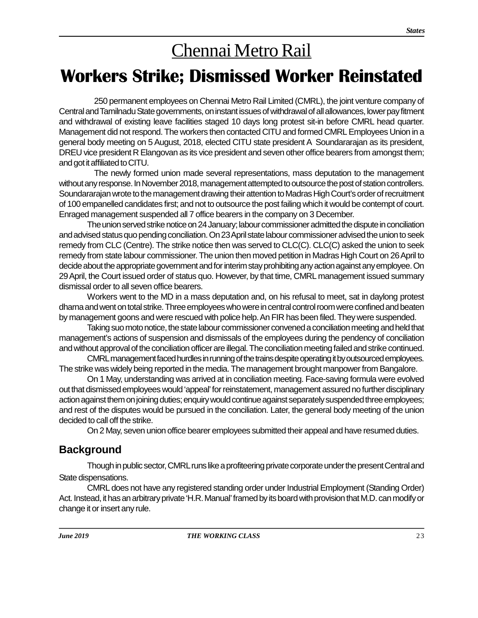## Chennai Metro Rail

## **Workers Strike; Dismissed Worker Reinstated**

250 permanent employees on Chennai Metro Rail Limited (CMRL), the joint venture company of Central and Tamilnadu State governments, on instant issues of withdrawal of all allowances, lower pay fitment and withdrawal of existing leave facilities staged 10 days long protest sit-in before CMRL head quarter. Management did not respond. The workers then contacted CITU and formed CMRL Employees Union in a general body meeting on 5 August, 2018, elected CITU state president A Soundararajan as its president, DREU vice president R Elangovan as its vice president and seven other office bearers from amongst them; and got it affiliated to CITU.

The newly formed union made several representations, mass deputation to the management without any response. In November 2018, management attempted to outsource the post of station controllers. Soundararajan wrote to the management drawing their attention to Madras High Court's order of recruitment of 100 empanelled candidates first; and not to outsource the post failing which it would be contempt of court. Enraged management suspended all 7 office bearers in the company on 3 December.

The union served strike notice on 24 January; labour commissioner admitted the dispute in conciliation and advised status quo pending conciliation. On 23 April state labour commissioner advised the union to seek remedy from CLC (Centre). The strike notice then was served to CLC(C). CLC(C) asked the union to seek remedy from state labour commissioner. The union then moved petition in Madras High Court on 26 April to decide about the appropriate government and for interim stay prohibiting any action against any employee. On 29 April, the Court issued order of status quo. However, by that time, CMRL management issued summary dismissal order to all seven office bearers.

Workers went to the MD in a mass deputation and, on his refusal to meet, sat in daylong protest dharna and went on total strike. Three employees who were in central control room were confined and beaten by management goons and were rescued with police help. An FIR has been filed. They were suspended.

Taking suo moto notice, the state labour commissioner convened a conciliation meeting and held that management's actions of suspension and dismissals of the employees during the pendency of conciliation and without approval of the conciliation officer are illegal. The conciliation meeting failed and strike continued.

CMRL management faced hurdles in running of the trains despite operating it by outsourced employees. The strike was widely being reported in the media. The management brought manpower from Bangalore.

On 1 May, understanding was arrived at in conciliation meeting. Face-saving formula were evolved out that dismissed employees would 'appeal' for reinstatement, management assured no further disciplinary action against them on joining duties; enquiry would continue against separately suspended three employees; and rest of the disputes would be pursued in the conciliation. Later, the general body meeting of the union decided to call off the strike.

On 2 May, seven union office bearer employees submitted their appeal and have resumed duties.

#### **Background**

Though in public sector, CMRL runs like a profiteering private corporate under the present Central and State dispensations.

CMRL does not have any registered standing order under Industrial Employment (Standing Order) Act. Instead, it has an arbitrary private 'H.R. Manual' framed by its board with provision that M.D. can modify or change it or insert any rule.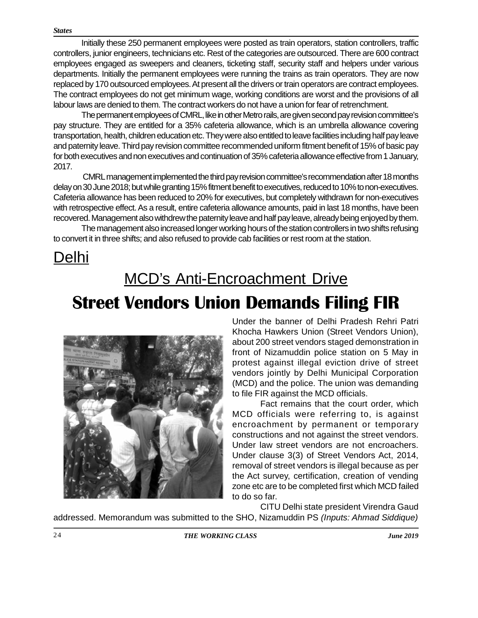Initially these 250 permanent employees were posted as train operators, station controllers, traffic controllers, junior engineers, technicians etc. Rest of the categories are outsourced. There are 600 contract employees engaged as sweepers and cleaners, ticketing staff, security staff and helpers under various departments. Initially the permanent employees were running the trains as train operators. They are now replaced by 170 outsourced employees. At present all the drivers or train operators are contract employees. The contract employees do not get minimum wage, working conditions are worst and the provisions of all labour laws are denied to them. The contract workers do not have a union for fear of retrenchment.

The permanent employees of CMRL, like in other Metro rails, are given second pay revision committee's pay structure. They are entitled for a 35% cafeteria allowance, which is an umbrella allowance covering transportation, health, children education etc. They were also entitled to leave facilities including half pay leave and paternity leave. Third pay revision committee recommended uniform fitment benefit of 15% of basic pay for both executives and non executives and continuation of 35% cafeteria allowance effective from 1 January, 2017.

 CMRL management implemented the third pay revision committee's recommendation after 18 months delay on 30 June 2018; but while granting 15% fitment benefit to executives, reduced to 10% to non-executives. Cafeteria allowance has been reduced to 20% for executives, but completely withdrawn for non-executives with retrospective effect. As a result, entire cafeteria allowance amounts, paid in last 18 months, have been recovered. Management also withdrew the paternity leave and half pay leave, already being enjoyed by them.

The management also increased longer working hours of the station controllers in two shifts refusing to convert it in three shifts; and also refused to provide cab facilities or rest room at the station.

Delhi

## MCD's Anti-Encroachment Drive **Street Vendors Union Demands Filing FIR**



Under the banner of Delhi Pradesh Rehri Patri Khocha Hawkers Union (Street Vendors Union), about 200 street vendors staged demonstration in front of Nizamuddin police station on 5 May in protest against illegal eviction drive of street vendors jointly by Delhi Municipal Corporation (MCD) and the police. The union was demanding to file FIR against the MCD officials.

Fact remains that the court order, which MCD officials were referring to, is against encroachment by permanent or temporary constructions and not against the street vendors. Under law street vendors are not encroachers. Under clause 3(3) of Street Vendors Act, 2014, removal of street vendors is illegal because as per the Act survey, certification, creation of vending zone etc are to be completed first which MCD failed to do so far.

CITU Delhi state president Virendra Gaud addressed. Memorandum was submitted to the SHO, Nizamuddin PS *(Inputs: Ahmad Siddique)*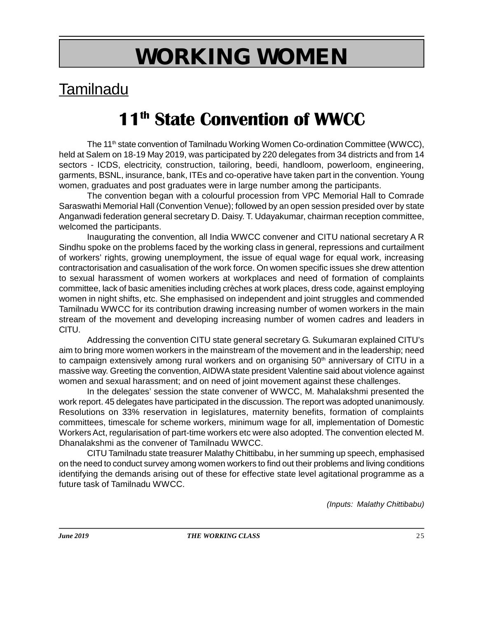# **WORKING WOMEN**

## Tamilnadu

# **11th State Convention of WWCC**

The 11<sup>th</sup> state convention of Tamilnadu Working Women Co-ordination Committee (WWCC), held at Salem on 18-19 May 2019, was participated by 220 delegates from 34 districts and from 14 sectors - ICDS, electricity, construction, tailoring, beedi, handloom, powerloom, engineering, garments, BSNL, insurance, bank, ITEs and co-operative have taken part in the convention. Young women, graduates and post graduates were in large number among the participants.

The convention began with a colourful procession from VPC Memorial Hall to Comrade Saraswathi Memorial Hall (Convention Venue); followed by an open session presided over by state Anganwadi federation general secretary D. Daisy. T. Udayakumar, chairman reception committee, welcomed the participants.

Inaugurating the convention, all India WWCC convener and CITU national secretary A R Sindhu spoke on the problems faced by the working class in general, repressions and curtailment of workers' rights, growing unemployment, the issue of equal wage for equal work, increasing contractorisation and casualisation of the work force. On women specific issues she drew attention to sexual harassment of women workers at workplaces and need of formation of complaints committee, lack of basic amenities including crèches at work places, dress code, against employing women in night shifts, etc. She emphasised on independent and joint struggles and commended Tamilnadu WWCC for its contribution drawing increasing number of women workers in the main stream of the movement and developing increasing number of women cadres and leaders in CITU.

Addressing the convention CITU state general secretary G. Sukumaran explained CITU's aim to bring more women workers in the mainstream of the movement and in the leadership; need to campaign extensively among rural workers and on organising 50<sup>th</sup> anniversary of CITU in a massive way. Greeting the convention, AIDWA state president Valentine said about violence against women and sexual harassment; and on need of joint movement against these challenges.

In the delegates' session the state convener of WWCC, M. Mahalakshmi presented the work report. 45 delegates have participated in the discussion. The report was adopted unanimously. Resolutions on 33% reservation in legislatures, maternity benefits, formation of complaints committees, timescale for scheme workers, minimum wage for all, implementation of Domestic Workers Act, regularisation of part-time workers etc were also adopted. The convention elected M. Dhanalakshmi as the convener of Tamilnadu WWCC.

CITU Tamilnadu state treasurer Malathy Chittibabu, in her summing up speech, emphasised on the need to conduct survey among women workers to find out their problems and living conditions identifying the demands arising out of these for effective state level agitational programme as a future task of Tamilnadu WWCC.

*(Inputs: Malathy Chittibabu)*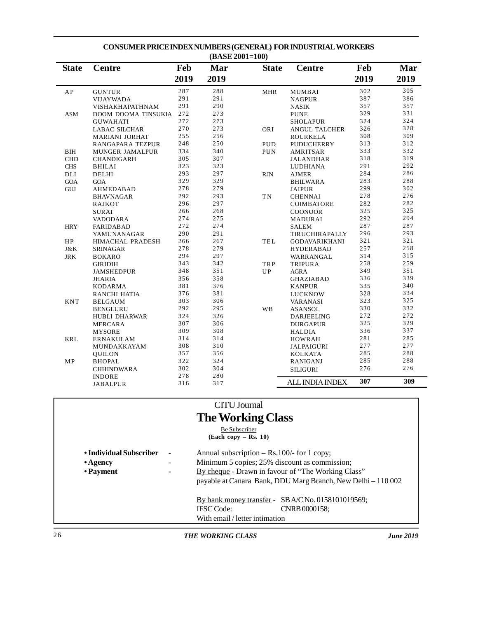| <b>State</b> | <b>Centre</b>         | Feb  | Mar  | <b>State</b>  | <b>Centre</b>          | Feb  | Mar  |
|--------------|-----------------------|------|------|---------------|------------------------|------|------|
|              |                       | 2019 | 2019 |               |                        | 2019 | 2019 |
| AP           | <b>GUNTUR</b>         | 287  | 288  | <b>MHR</b>    | MUMBAI                 | 302  | 305  |
|              | VIJAYWADA             | 291  | 291  |               | <b>NAGPUR</b>          | 387  | 386  |
|              | VISHAKHAPATHNAM       | 291  | 290  |               | <b>NASIK</b>           | 357  | 357  |
| <b>ASM</b>   | DOOM DOOMA TINSUKIA   | 272  | 273  |               | <b>PUNE</b>            | 329  | 331  |
|              | <b>GUWAHATI</b>       | 272  | 273  |               | <b>SHOLAPUR</b>        | 324  | 324  |
|              | <b>LABAC SILCHAR</b>  | 270  | 273  | ORI           | ANGUL TALCHER          | 326  | 328  |
|              | <b>MARIANI JORHAT</b> | 255  | 256  |               | <b>ROURKELA</b>        | 308  | 309  |
|              | RANGAPARA TEZPUR      | 248  | 250  | PUD           | <b>PUDUCHERRY</b>      | 313  | 312  |
| BIH          | MUNGER JAMALPUR       | 334  | 340  | PUN           | AMRITSAR               | 333  | 332  |
| <b>CHD</b>   | <b>CHANDIGARH</b>     | 305  | 307  |               | <b>JALANDHAR</b>       | 318  | 319  |
| <b>CHS</b>   | <b>BHILAI</b>         | 323  | 323  |               | <b>LUDHIANA</b>        | 291  | 292  |
| DLI          | <b>DELHI</b>          | 293  | 297  | RJN           | <b>AJMER</b>           | 284  | 286  |
| <b>GOA</b>   | <b>GOA</b>            | 329  | 329  |               | <b>BHILWARA</b>        | 283  | 288  |
| GUJ          | AHMEDABAD             | 278  | 279  |               | <b>JAIPUR</b>          | 299  | 302  |
|              | <b>BHAVNAGAR</b>      | 292  | 293  | TN            | <b>CHENNAI</b>         | 278  | 276  |
|              | <b>RAJKOT</b>         | 296  | 297  |               | <b>COIMBATORE</b>      | 282  | 282  |
|              | <b>SURAT</b>          | 266  | 268  |               | <b>COONOOR</b>         | 325  | 325  |
|              | VADODARA              | 274  | 275  |               | MADURAI                | 292  | 294  |
| <b>HRY</b>   | <b>FARIDABAD</b>      | 272  | 274  |               | <b>SALEM</b>           | 287  | 287  |
|              | YAMUNANAGAR           | 290  | 291  |               | TIRUCHIRAPALLY         | 296  | 293  |
| HP           | HIMACHAL PRADESH      | 266  | 267  | TEL           | <b>GODAVARIKHANI</b>   | 321  | 321  |
| J&K          | <b>SRINAGAR</b>       | 278  | 279  |               | <b>HYDERABAD</b>       | 257  | 258  |
| <b>JRK</b>   | <b>BOKARO</b>         | 294  | 297  |               | WARRANGAL              | 314  | 315  |
|              | <b>GIRIDIH</b>        | 343  | 342  | TRP           | <b>TRIPURA</b>         | 258  | 259  |
|              | <b>JAMSHEDPUR</b>     | 348  | 351  | $\mathbf{UP}$ | <b>AGRA</b>            | 349  | 351  |
|              | <b>JHARIA</b>         | 356  | 358  |               | <b>GHAZIABAD</b>       | 336  | 339  |
|              | <b>KODARMA</b>        | 381  | 376  |               | <b>KANPUR</b>          | 335  | 340  |
|              | RANCHI HATIA          | 376  | 381  |               | LUCKNOW                | 328  | 334  |
| <b>KNT</b>   | <b>BELGAUM</b>        | 303  | 306  |               | <b>VARANASI</b>        | 323  | 325  |
|              | <b>BENGLURU</b>       | 292  | 295  | WB            | ASANSOL                | 330  | 332  |
|              | <b>HUBLI DHARWAR</b>  | 324  | 326  |               | <b>DARJEELING</b>      | 272  | 272  |
|              | <b>MERCARA</b>        | 307  | 306  |               | <b>DURGAPUR</b>        | 325  | 329  |
|              | MYSORE                | 309  | 308  |               | HALDIA                 | 336  | 337  |
| <b>KRL</b>   | <b>ERNAKULAM</b>      | 314  | 314  |               | HOWRAH                 | 281  | 285  |
|              | MUNDAKKAYAM           | 308  | 310  |               | JALPAIGURI             | 277  | 277  |
|              | QUILON                | 357  | 356  |               | <b>KOLKATA</b>         | 285  | 288  |
| <b>MP</b>    | <b>BHOPAL</b>         | 322  | 324  |               | <b>RANIGANJ</b>        | 285  | 288  |
|              | <b>CHHINDWARA</b>     | 302  | 304  |               | <b>SILIGURI</b>        | 276  | 276  |
|              | <b>INDORE</b>         | 278  | 280  |               |                        |      |      |
|              | JABALPUR              | 316  | 317  |               | <b>ALL INDIA INDEX</b> | 307  | 309  |
|              |                       |      |      |               |                        |      |      |

#### **CONSUMER PRICE INDEX NUMBERS (GENERAL) FOR INDUSTRIAL WORKERS (BASE 2001=100)**

Be Subscriber **(Each copy – Rs. 10)**

| • Individual Subscriber<br>• Agency | $\overline{\phantom{a}}$<br>$\overline{\phantom{a}}$ | Annual subscription $-$ Rs.100/- for 1 copy;<br>Minimum 5 copies; 25% discount as commission;                                 |
|-------------------------------------|------------------------------------------------------|-------------------------------------------------------------------------------------------------------------------------------|
| • Payment                           | $\blacksquare$                                       | By cheque - Drawn in favour of "The Working Class"<br>payable at Canara Bank, DDU Marg Branch, New Delhi - 110 002            |
|                                     |                                                      | By bank money transfer - $SB A/C No. 0158101019569$ ;<br>CNRB 0000158:<br><b>IFSC</b> Code:<br>With email / letter intimation |

 *THE WORKING CLASS June 2019*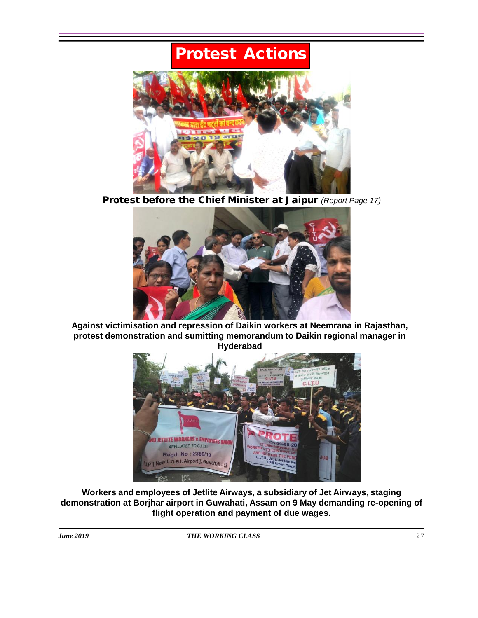## **Protest Actions**



**Protest before the Chief Minister at Jaipur** *(Report Page 17)*



**Against victimisation and repression of Daikin workers at Neemrana in Rajasthan, protest demonstration and sumitting memorandum to Daikin regional manager in Hyderabad**



**Workers and employees of Jetlite Airways, a subsidiary of Jet Airways, staging demonstration at Borjhar airport in Guwahati, Assam on 9 May demanding re-opening of flight operation and payment of due wages.**